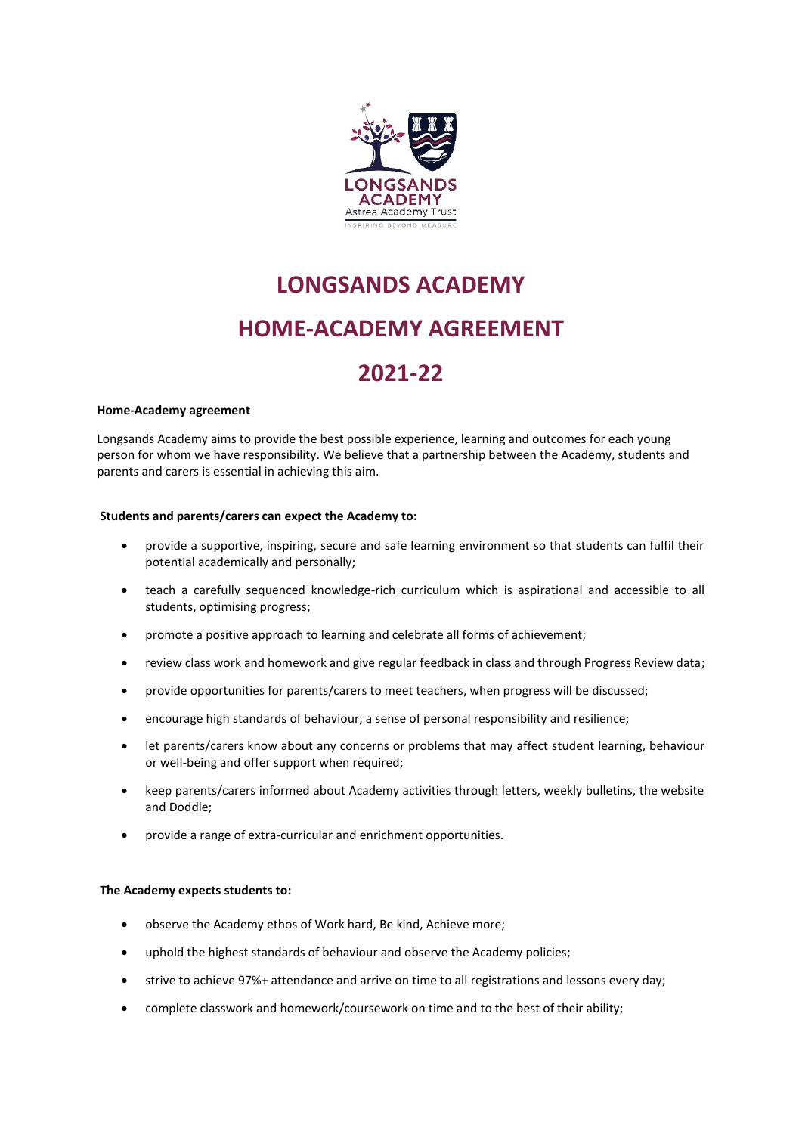

# **LONGSANDS ACADEMY HOME-ACADEMY AGREEMENT**

# **2021-22**

#### **Home-Academy agreement**

Longsands Academy aims to provide the best possible experience, learning and outcomes for each young person for whom we have responsibility. We believe that a partnership between the Academy, students and parents and carers is essential in achieving this aim.

## **Students and parents/carers can expect the Academy to:**

- provide a supportive, inspiring, secure and safe learning environment so that students can fulfil their potential academically and personally;
- teach a carefully sequenced knowledge-rich curriculum which is aspirational and accessible to all students, optimising progress;
- promote a positive approach to learning and celebrate all forms of achievement;
- review class work and homework and give regular feedback in class and through Progress Review data;
- provide opportunities for parents/carers to meet teachers, when progress will be discussed;
- encourage high standards of behaviour, a sense of personal responsibility and resilience;
- let parents/carers know about any concerns or problems that may affect student learning, behaviour or well-being and offer support when required;
- keep parents/carers informed about Academy activities through letters, weekly bulletins, the website and Doddle;
- provide a range of extra-curricular and enrichment opportunities.

## **The Academy expects students to:**

- observe the Academy ethos of Work hard, Be kind, Achieve more;
- uphold the highest standards of behaviour and observe the Academy policies;
- strive to achieve 97%+ attendance and arrive on time to all registrations and lessons every day;
- complete classwork and homework/coursework on time and to the best of their ability;